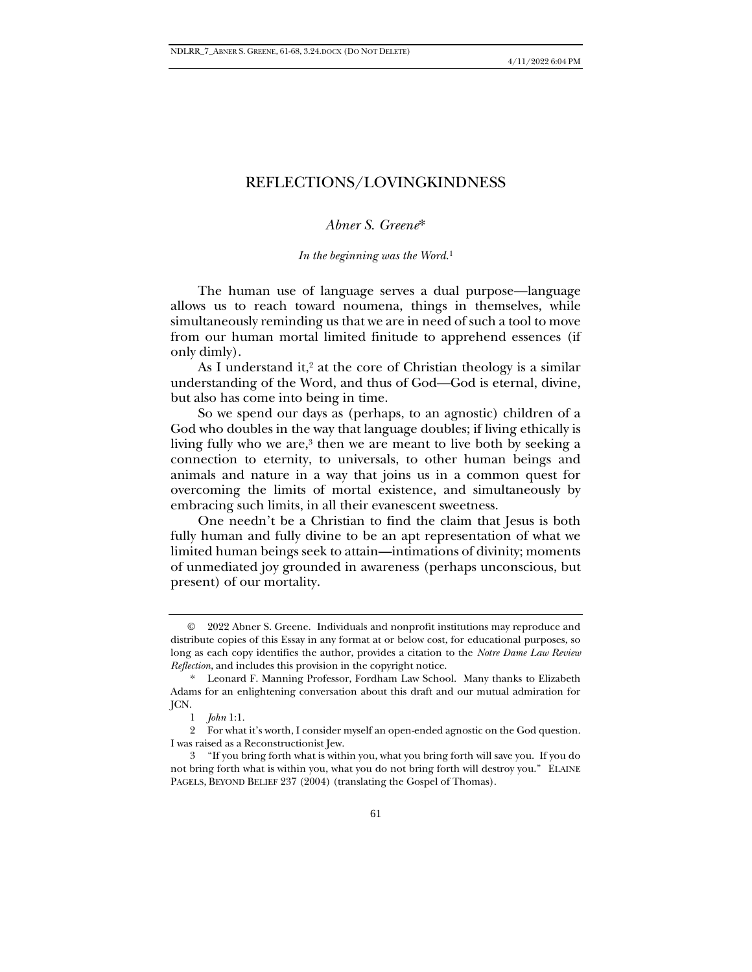# REFLECTIONS/LOVINGKINDNESS

## *Abner S. Greene*\*

*In the beginning was the Word*. 1

The human use of language serves a dual purpose—language allows us to reach toward noumena, things in themselves, while simultaneously reminding us that we are in need of such a tool to move from our human mortal limited finitude to apprehend essences (if only dimly).

As I understand it, $2$  at the core of Christian theology is a similar understanding of the Word, and thus of God—God is eternal, divine, but also has come into being in time.

So we spend our days as (perhaps, to an agnostic) children of a God who doubles in the way that language doubles; if living ethically is living fully who we are,<sup>3</sup> then we are meant to live both by seeking a connection to eternity, to universals, to other human beings and animals and nature in a way that joins us in a common quest for overcoming the limits of mortal existence, and simultaneously by embracing such limits, in all their evanescent sweetness.

One needn't be a Christian to find the claim that Jesus is both fully human and fully divine to be an apt representation of what we limited human beings seek to attain—intimations of divinity; moments of unmediated joy grounded in awareness (perhaps unconscious, but present) of our mortality.

<sup>©</sup> 2022 Abner S. Greene. Individuals and nonprofit institutions may reproduce and distribute copies of this Essay in any format at or below cost, for educational purposes, so long as each copy identifies the author, provides a citation to the *Notre Dame Law Review Reflection*, and includes this provision in the copyright notice.

<sup>\*</sup> Leonard F. Manning Professor, Fordham Law School. Many thanks to Elizabeth Adams for an enlightening conversation about this draft and our mutual admiration for JCN.

<sup>1</sup> *John* 1:1.

<sup>2</sup> For what it's worth, I consider myself an open-ended agnostic on the God question. I was raised as a Reconstructionist Jew.

<sup>3</sup> "If you bring forth what is within you, what you bring forth will save you. If you do not bring forth what is within you, what you do not bring forth will destroy you." ELAINE PAGELS, BEYOND BELIEF 237 (2004) (translating the Gospel of Thomas).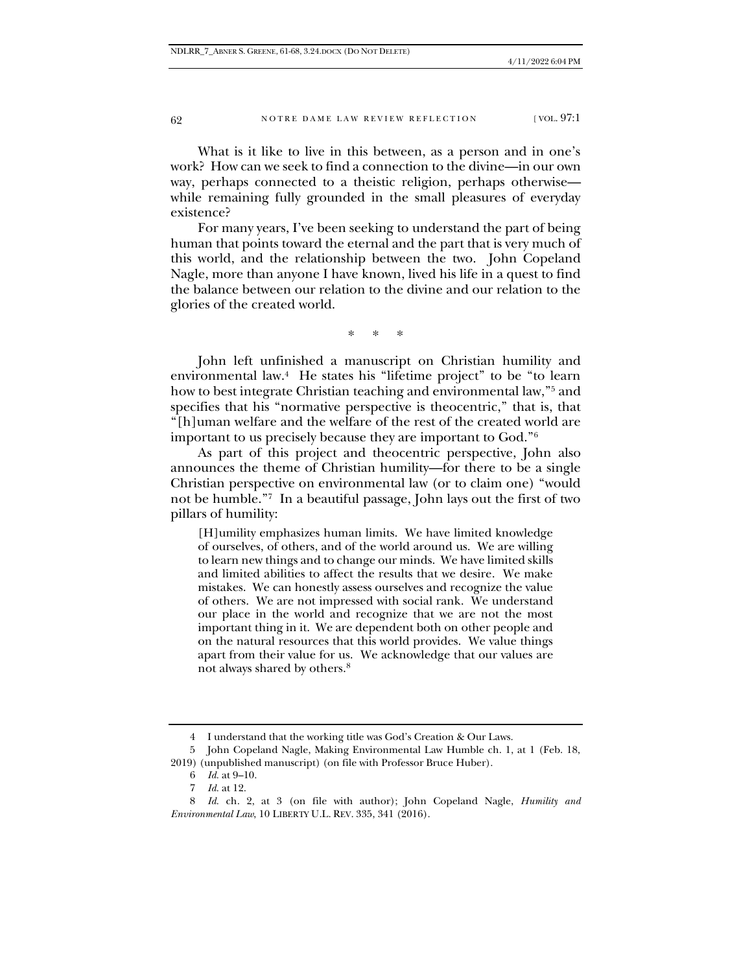### 62 NOTRE DAME LAW REVIEW REFLECTION [VOL. 97:1

What is it like to live in this between, as a person and in one's work? How can we seek to find a connection to the divine—in our own way, perhaps connected to a theistic religion, perhaps otherwise while remaining fully grounded in the small pleasures of everyday existence?

For many years, I've been seeking to understand the part of being human that points toward the eternal and the part that is very much of this world, and the relationship between the two. John Copeland Nagle, more than anyone I have known, lived his life in a quest to find the balance between our relation to the divine and our relation to the glories of the created world.

\* \* \*

John left unfinished a manuscript on Christian humility and environmental law.<sup>4</sup> He states his "lifetime project" to be "to learn how to best integrate Christian teaching and environmental law,"<sup>5</sup> and specifies that his "normative perspective is theocentric," that is, that "[h]uman welfare and the welfare of the rest of the created world are important to us precisely because they are important to God."<sup>6</sup>

As part of this project and theocentric perspective, John also announces the theme of Christian humility—for there to be a single Christian perspective on environmental law (or to claim one) "would not be humble."<sup>7</sup> In a beautiful passage, John lays out the first of two pillars of humility:

[H]umility emphasizes human limits. We have limited knowledge of ourselves, of others, and of the world around us. We are willing to learn new things and to change our minds. We have limited skills and limited abilities to affect the results that we desire. We make mistakes. We can honestly assess ourselves and recognize the value of others. We are not impressed with social rank. We understand our place in the world and recognize that we are not the most important thing in it. We are dependent both on other people and on the natural resources that this world provides. We value things apart from their value for us. We acknowledge that our values are not always shared by others. 8

<sup>4</sup> I understand that the working title was God's Creation & Our Laws.

<sup>5</sup> John Copeland Nagle, Making Environmental Law Humble ch. 1, at 1 (Feb. 18, 2019) (unpublished manuscript) (on file with Professor Bruce Huber).

<sup>6</sup> *Id.* at 9–10.

<sup>7</sup> *Id.* at 12.

<sup>8</sup> *Id.* ch. 2, at 3 (on file with author); John Copeland Nagle, *Humility and Environmental Law*, 10 LIBERTY U.L. REV. 335, 341 (2016).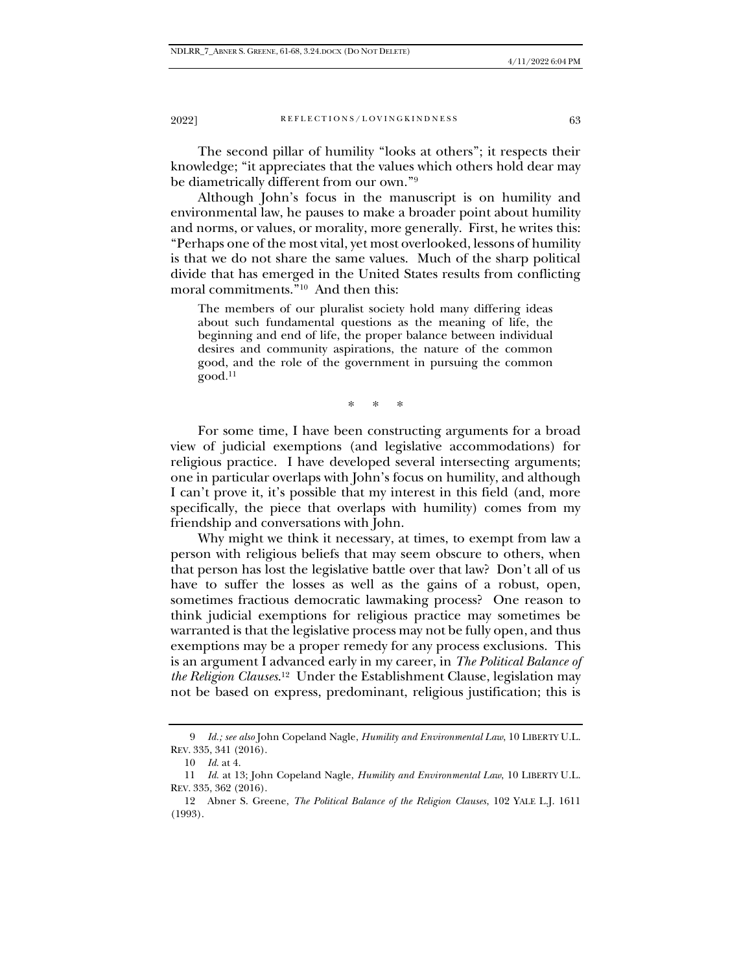### 2022] REFLECTIONS/LOVINGKINDNESS 63

The second pillar of humility "looks at others"; it respects their knowledge; "it appreciates that the values which others hold dear may be diametrically different from our own."<sup>9</sup>

Although John's focus in the manuscript is on humility and environmental law, he pauses to make a broader point about humility and norms, or values, or morality, more generally. First, he writes this: "Perhaps one of the most vital, yet most overlooked, lessons of humility is that we do not share the same values. Much of the sharp political divide that has emerged in the United States results from conflicting moral commitments."<sup>10</sup> And then this:

The members of our pluralist society hold many differing ideas about such fundamental questions as the meaning of life, the beginning and end of life, the proper balance between individual desires and community aspirations, the nature of the common good, and the role of the government in pursuing the common good. 11

\* \* \*

For some time, I have been constructing arguments for a broad view of judicial exemptions (and legislative accommodations) for religious practice. I have developed several intersecting arguments; one in particular overlaps with John's focus on humility, and although I can't prove it, it's possible that my interest in this field (and, more specifically, the piece that overlaps with humility) comes from my friendship and conversations with John.

Why might we think it necessary, at times, to exempt from law a person with religious beliefs that may seem obscure to others, when that person has lost the legislative battle over that law? Don't all of us have to suffer the losses as well as the gains of a robust, open, sometimes fractious democratic lawmaking process? One reason to think judicial exemptions for religious practice may sometimes be warranted is that the legislative process may not be fully open, and thus exemptions may be a proper remedy for any process exclusions. This is an argument I advanced early in my career, in *The Political Balance of the Religion Clauses*. 12 Under the Establishment Clause, legislation may not be based on express, predominant, religious justification; this is

<sup>9</sup> *Id.; see also* John Copeland Nagle, *Humility and Environmental Law*, 10 LIBERTY U.L. REV. 335, 341 (2016).

<sup>10</sup> *Id.* at 4.

<sup>11</sup> *Id.* at 13; John Copeland Nagle, *Humility and Environmental Law*, 10 LIBERTY U.L. REV. 335, 362 (2016).

<sup>12</sup> Abner S. Greene, *The Political Balance of the Religion Clauses*, 102 YALE L.J. 1611 (1993).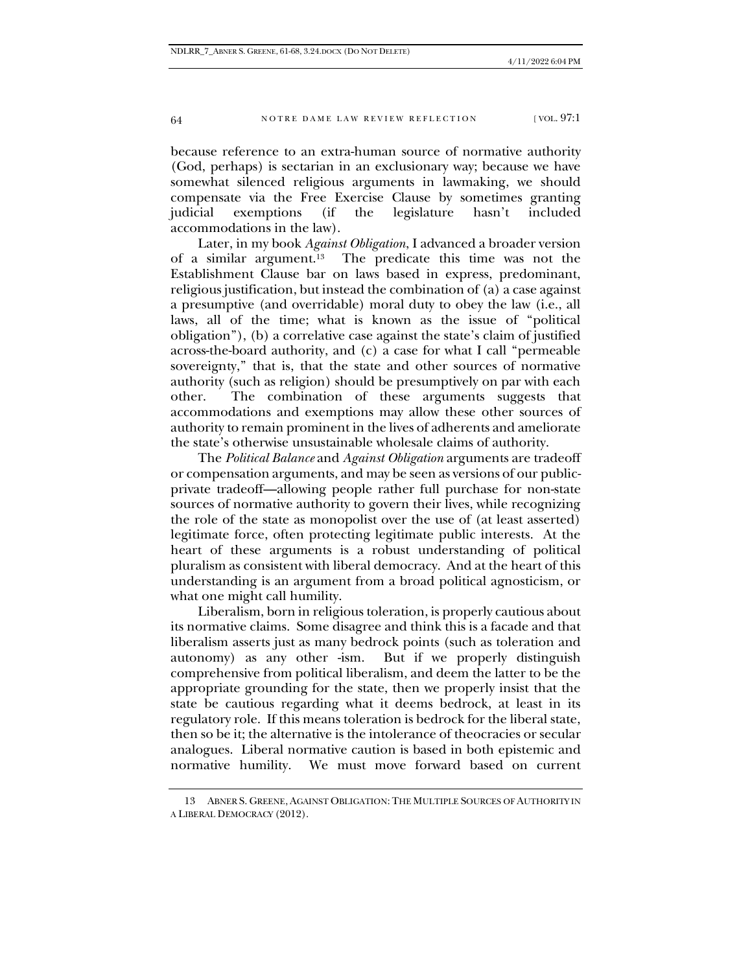### 64 NOTRE DAME LAW REVIEW REFLECTION [VOL. 97:1]

because reference to an extra-human source of normative authority (God, perhaps) is sectarian in an exclusionary way; because we have somewhat silenced religious arguments in lawmaking, we should compensate via the Free Exercise Clause by sometimes granting judicial exemptions (if the legislature hasn't included accommodations in the law).

Later, in my book *Against Obligation*, I advanced a broader version of a similar argument.<sup>13</sup> The predicate this time was not the Establishment Clause bar on laws based in express, predominant, religious justification, but instead the combination of (a) a case against a presumptive (and overridable) moral duty to obey the law (i.e., all laws, all of the time; what is known as the issue of "political obligation"), (b) a correlative case against the state's claim of justified across-the-board authority, and (c) a case for what I call "permeable sovereignty," that is, that the state and other sources of normative authority (such as religion) should be presumptively on par with each other. The combination of these arguments suggests that accommodations and exemptions may allow these other sources of authority to remain prominent in the lives of adherents and ameliorate the state's otherwise unsustainable wholesale claims of authority.

The *Political Balance* and *Against Obligation* arguments are tradeoff or compensation arguments, and may be seen as versions of our publicprivate tradeoff—allowing people rather full purchase for non-state sources of normative authority to govern their lives, while recognizing the role of the state as monopolist over the use of (at least asserted) legitimate force, often protecting legitimate public interests. At the heart of these arguments is a robust understanding of political pluralism as consistent with liberal democracy. And at the heart of this understanding is an argument from a broad political agnosticism, or what one might call humility.

Liberalism, born in religious toleration, is properly cautious about its normative claims. Some disagree and think this is a facade and that liberalism asserts just as many bedrock points (such as toleration and autonomy) as any other -ism. But if we properly distinguish But if we properly distinguish. comprehensive from political liberalism, and deem the latter to be the appropriate grounding for the state, then we properly insist that the state be cautious regarding what it deems bedrock, at least in its regulatory role. If this means toleration is bedrock for the liberal state, then so be it; the alternative is the intolerance of theocracies or secular analogues. Liberal normative caution is based in both epistemic and We must move forward based on current

<sup>13</sup> ABNER S. GREENE, AGAINST OBLIGATION: THE MULTIPLE SOURCES OF AUTHORITY IN A LIBERAL DEMOCRACY (2012).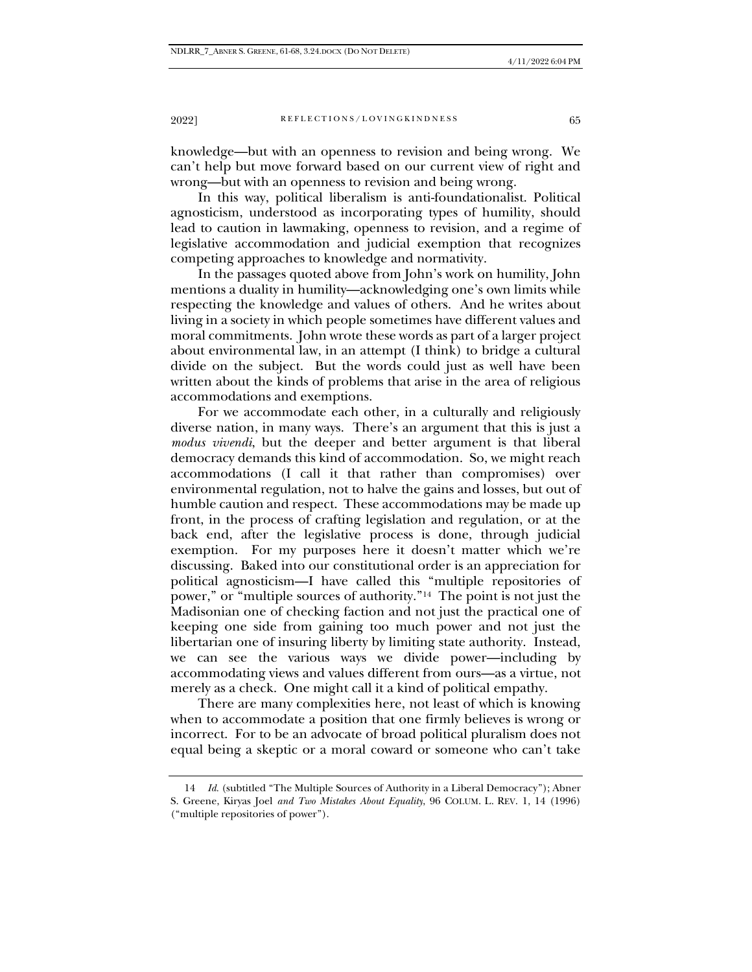### 2022] REFLECTIONS/LOVINGKINDNESS 65

knowledge—but with an openness to revision and being wrong. We can't help but move forward based on our current view of right and wrong—but with an openness to revision and being wrong.

In this way, political liberalism is anti-foundationalist. Political agnosticism, understood as incorporating types of humility, should lead to caution in lawmaking, openness to revision, and a regime of legislative accommodation and judicial exemption that recognizes competing approaches to knowledge and normativity.

In the passages quoted above from John's work on humility, John mentions a duality in humility—acknowledging one's own limits while respecting the knowledge and values of others. And he writes about living in a society in which people sometimes have different values and moral commitments. John wrote these words as part of a larger project about environmental law, in an attempt (I think) to bridge a cultural divide on the subject. But the words could just as well have been written about the kinds of problems that arise in the area of religious accommodations and exemptions.

For we accommodate each other, in a culturally and religiously diverse nation, in many ways. There's an argument that this is just a *modus vivendi*, but the deeper and better argument is that liberal democracy demands this kind of accommodation. So, we might reach accommodations (I call it that rather than compromises) over environmental regulation, not to halve the gains and losses, but out of humble caution and respect. These accommodations may be made up front, in the process of crafting legislation and regulation, or at the back end, after the legislative process is done, through judicial exemption. For my purposes here it doesn't matter which we're discussing. Baked into our constitutional order is an appreciation for political agnosticism—I have called this "multiple repositories of power," or "multiple sources of authority."<sup>14</sup> The point is not just the Madisonian one of checking faction and not just the practical one of keeping one side from gaining too much power and not just the libertarian one of insuring liberty by limiting state authority. Instead, we can see the various ways we divide power—including by accommodating views and values different from ours—as a virtue, not merely as a check. One might call it a kind of political empathy.

There are many complexities here, not least of which is knowing when to accommodate a position that one firmly believes is wrong or incorrect. For to be an advocate of broad political pluralism does not equal being a skeptic or a moral coward or someone who can't take

<sup>14</sup> *Id.* (subtitled "The Multiple Sources of Authority in a Liberal Democracy"); Abner S. Greene, Kiryas Joel *and Two Mistakes About Equality*, 96 COLUM. L. REV. 1, 14 (1996) ("multiple repositories of power").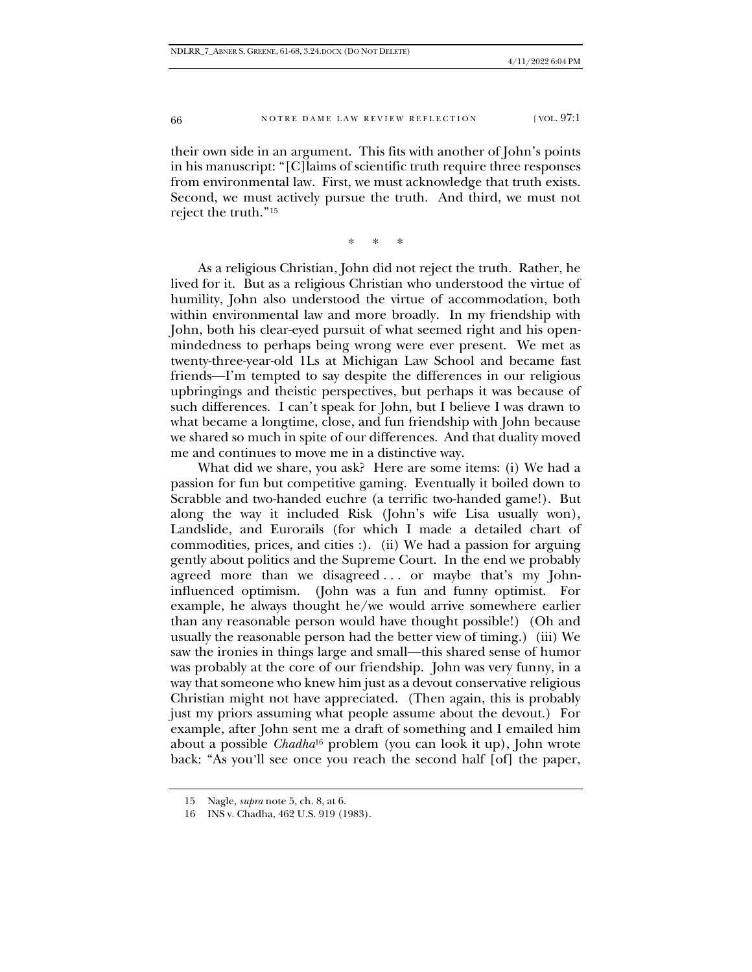#### 66 NOTRE DAME LAW REVIEW REFLECTION [VOL. 97:1]

their own side in an argument. This fits with another of John's points in his manuscript: "[C]laims of scientific truth require three responses from environmental law. First, we must acknowledge that truth exists. Second, we must actively pursue the truth. And third, we must not reject the truth."<sup>15</sup>

\* \* \*

As a religious Christian, John did not reject the truth. Rather, he lived for it. But as a religious Christian who understood the virtue of humility, John also understood the virtue of accommodation, both within environmental law and more broadly. In my friendship with John, both his clear-eyed pursuit of what seemed right and his openmindedness to perhaps being wrong were ever present. We met as twenty-three-year-old 1Ls at Michigan Law School and became fast friends—I'm tempted to say despite the differences in our religious upbringings and theistic perspectives, but perhaps it was because of such differences. I can't speak for John, but I believe I was drawn to what became a longtime, close, and fun friendship with John because we shared so much in spite of our differences. And that duality moved me and continues to move me in a distinctive way.

What did we share, you ask? Here are some items: (i) We had a passion for fun but competitive gaming. Eventually it boiled down to Scrabble and two-handed euchre (a terrific two-handed game!). But along the way it included Risk (John's wife Lisa usually won), Landslide, and Eurorails (for which I made a detailed chart of commodities, prices, and cities :). (ii) We had a passion for arguing gently about politics and the Supreme Court. In the end we probably agreed more than we disagreed ... or maybe that's my Johninfluenced optimism. (John was a fun and funny optimist. For example, he always thought he/we would arrive somewhere earlier than any reasonable person would have thought possible!) (Oh and usually the reasonable person had the better view of timing.) (iii) We saw the ironies in things large and small—this shared sense of humor was probably at the core of our friendship. John was very funny, in a way that someone who knew him just as a devout conservative religious Christian might not have appreciated. (Then again, this is probably just my priors assuming what people assume about the devout.) For example, after John sent me a draft of something and I emailed him about a possible *Chadha*<sup>16</sup> problem (you can look it up), John wrote back: "As you'll see once you reach the second half [of] the paper,

<sup>15</sup> Nagle, *supra* note 5, ch. 8, at 6.

<sup>16</sup> INS v. Chadha, 462 U.S. 919 (1983).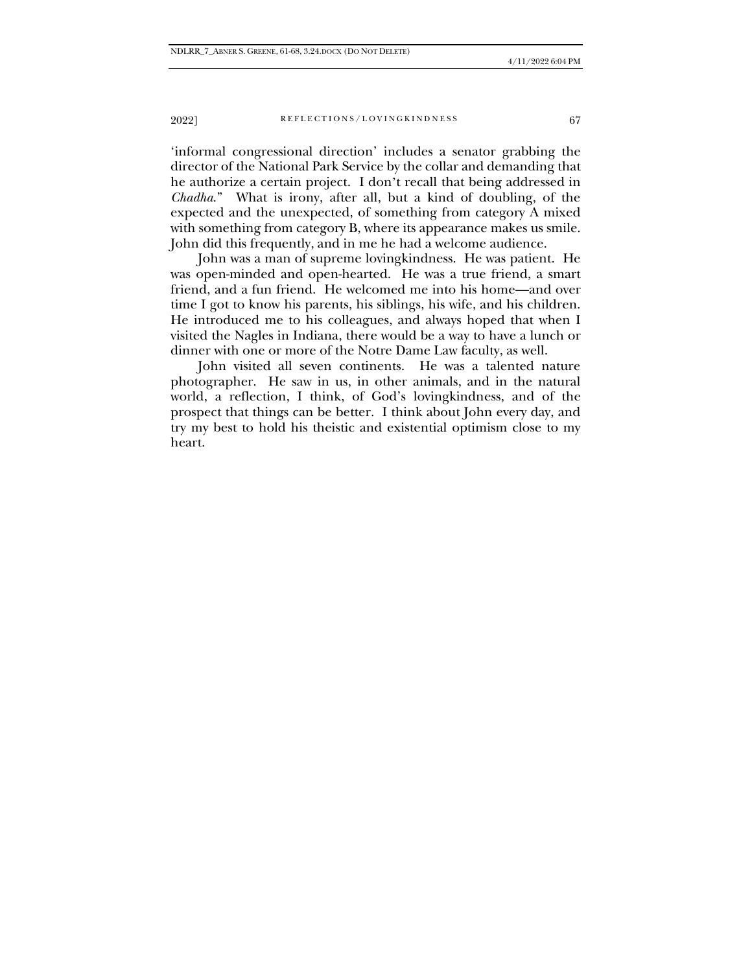### 2022] REFLECTIONS/LOVINGKINDNESS 67

'informal congressional direction' includes a senator grabbing the director of the National Park Service by the collar and demanding that he authorize a certain project. I don't recall that being addressed in *Chadha*." What is irony, after all, but a kind of doubling, of the expected and the unexpected, of something from category A mixed with something from category B, where its appearance makes us smile. John did this frequently, and in me he had a welcome audience.

John was a man of supreme lovingkindness. He was patient. He was open-minded and open-hearted. He was a true friend, a smart friend, and a fun friend. He welcomed me into his home—and over time I got to know his parents, his siblings, his wife, and his children. He introduced me to his colleagues, and always hoped that when I visited the Nagles in Indiana, there would be a way to have a lunch or dinner with one or more of the Notre Dame Law faculty, as well.

John visited all seven continents. He was a talented nature photographer. He saw in us, in other animals, and in the natural world, a reflection, I think, of God's lovingkindness, and of the prospect that things can be better. I think about John every day, and try my best to hold his theistic and existential optimism close to my heart.